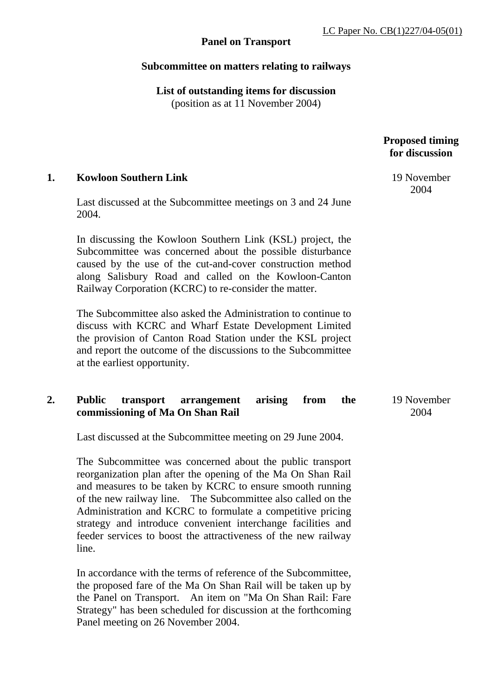# **Panel on Transport**

## **Subcommittee on matters relating to railways**

**List of outstanding items for discussion**  (position as at 11 November 2004)

> **Proposed timing for discussion**

> > 19 November 2004

**1. Kowloon Southern Link** 

Last discussed at the Subcommittee meetings on 3 and 24 June 2004.

In discussing the Kowloon Southern Link (KSL) project, the Subcommittee was concerned about the possible disturbance caused by the use of the cut-and-cover construction method along Salisbury Road and called on the Kowloon-Canton Railway Corporation (KCRC) to re-consider the matter.

The Subcommittee also asked the Administration to continue to discuss with KCRC and Wharf Estate Development Limited the provision of Canton Road Station under the KSL project and report the outcome of the discussions to the Subcommittee at the earliest opportunity.

# **2. Public transport arrangement arising from the commissioning of Ma On Shan Rail**

Last discussed at the Subcommittee meeting on 29 June 2004.

The Subcommittee was concerned about the public transport reorganization plan after the opening of the Ma On Shan Rail and measures to be taken by KCRC to ensure smooth running of the new railway line. The Subcommittee also called on the Administration and KCRC to formulate a competitive pricing strategy and introduce convenient interchange facilities and feeder services to boost the attractiveness of the new railway line.

In accordance with the terms of reference of the Subcommittee, the proposed fare of the Ma On Shan Rail will be taken up by the Panel on Transport. An item on "Ma On Shan Rail: Fare Strategy" has been scheduled for discussion at the forthcoming Panel meeting on 26 November 2004.

 19 November 2004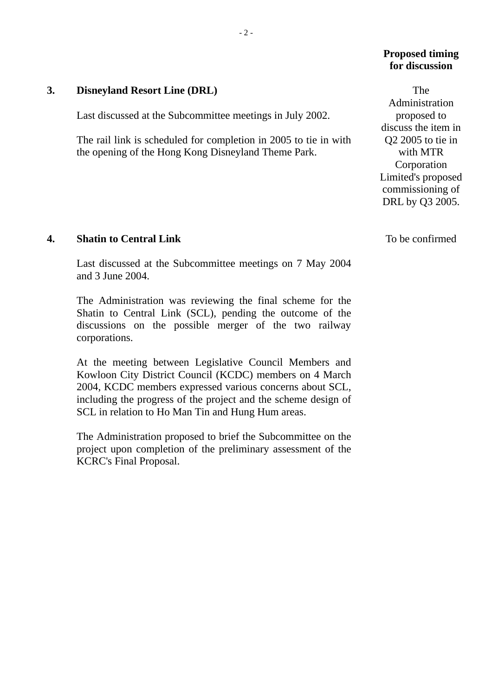## **Proposed timing for discussion**

 The Administration proposed to discuss the item in Q2 2005 to tie in with MTR Corporation Limited's proposed commissioning of DRL by Q3 2005.

## **3. Disneyland Resort Line (DRL)**

Last discussed at the Subcommittee meetings in July 2002.

The rail link is scheduled for completion in 2005 to tie in with the opening of the Hong Kong Disneyland Theme Park.

#### **4. Shatin to Central Link**

Last discussed at the Subcommittee meetings on 7 May 2004 and 3 June 2004.

The Administration was reviewing the final scheme for the Shatin to Central Link (SCL), pending the outcome of the discussions on the possible merger of the two railway corporations.

At the meeting between Legislative Council Members and Kowloon City District Council (KCDC) members on 4 March 2004, KCDC members expressed various concerns about SCL, including the progress of the project and the scheme design of SCL in relation to Ho Man Tin and Hung Hum areas.

The Administration proposed to brief the Subcommittee on the project upon completion of the preliminary assessment of the KCRC's Final Proposal.

To be confirmed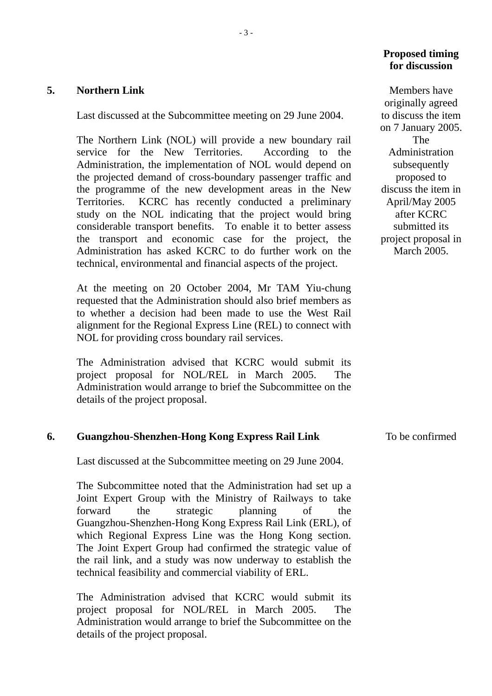### **5. Northern Link**

Last discussed at the Subcommittee meeting on 29 June 2004.

The Northern Link (NOL) will provide a new boundary rail service for the New Territories. According to the Administration, the implementation of NOL would depend on the projected demand of cross-boundary passenger traffic and the programme of the new development areas in the New Territories. KCRC has recently conducted a preliminary study on the NOL indicating that the project would bring considerable transport benefits. To enable it to better assess the transport and economic case for the project, the Administration has asked KCRC to do further work on the technical, environmental and financial aspects of the project.

At the meeting on 20 October 2004, Mr TAM Yiu-chung requested that the Administration should also brief members as to whether a decision had been made to use the West Rail alignment for the Regional Express Line (REL) to connect with NOL for providing cross boundary rail services.

The Administration advised that KCRC would submit its project proposal for NOL/REL in March 2005. The Administration would arrange to brief the Subcommittee on the details of the project proposal.

### **6. Guangzhou-Shenzhen-Hong Kong Express Rail Link**

Last discussed at the Subcommittee meeting on 29 June 2004.

The Subcommittee noted that the Administration had set up a Joint Expert Group with the Ministry of Railways to take forward the strategic planning of the Guangzhou-Shenzhen-Hong Kong Express Rail Link (ERL), of which Regional Express Line was the Hong Kong section. The Joint Expert Group had confirmed the strategic value of the rail link, and a study was now underway to establish the technical feasibility and commercial viability of ERL.

The Administration advised that KCRC would submit its project proposal for NOL/REL in March 2005. The Administration would arrange to brief the Subcommittee on the details of the project proposal.

## **Proposed timing for discussion**

 Members have originally agreed to discuss the item on 7 January 2005. The Administration subsequently proposed to discuss the item in April/May 2005 after KCRC submitted its project proposal in March 2005.

#### To be confirmed